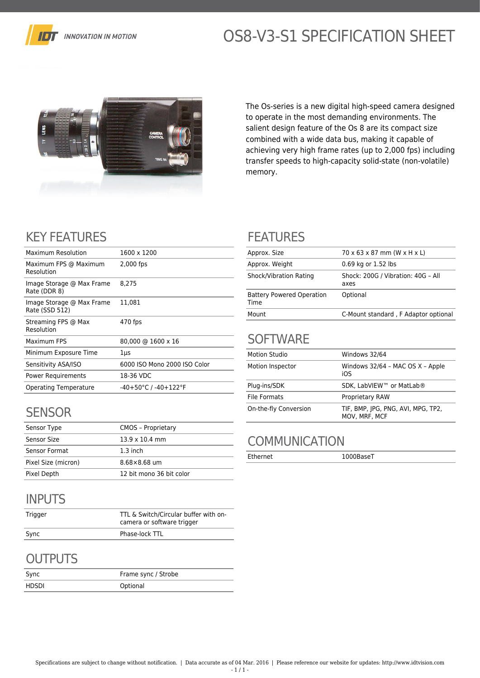

# OS8-V3-S1 SPECIFICATION SHEET



The Os-series is a new digital high-speed camera designed to operate in the most demanding environments. The salient design feature of the Os 8 are its compact size combined with a wide data bus, making it capable of achieving very high frame rates (up to 2,000 fps) including transfer speeds to high-capacity solid-state (non-volatile) memory.

# KEY FEATURES

| Maximum Resolution                          | 1600 x 1200                              |
|---------------------------------------------|------------------------------------------|
| Maximum FPS @ Maximum<br>Resolution         | 2,000 fps                                |
| Image Storage @ Max Frame<br>Rate (DDR 8)   | 8.275                                    |
| Image Storage @ Max Frame<br>Rate (SSD 512) | 11,081                                   |
| Streaming FPS @ Max<br>Resolution           | 470 fps                                  |
| Maximum FPS                                 | 80,000 @ 1600 x 16                       |
| Minimum Exposure Time                       | 1µs                                      |
| Sensitivity ASA/ISO                         | 6000 ISO Mono 2000 ISO Color             |
| Power Requirements                          | 18-36 VDC                                |
| <b>Operating Temperature</b>                | $-40+50^{\circ}$ C / $-40+122^{\circ}$ F |
|                                             |                                          |

# **SENSOR**

| Sensor Type         | <b>CMOS - Proprietary</b> |
|---------------------|---------------------------|
| Sensor Size         | $13.9 \times 10.4$ mm     |
| Sensor Format       | $1.3$ inch                |
| Pixel Size (micron) | $8.68\times8.68$ um       |
| Pixel Depth         | 12 bit mono 36 bit color  |

# INPUTS

| Trigger | TTL & Switch/Circular buffer with on-<br>camera or software trigger |
|---------|---------------------------------------------------------------------|
| Sync    | Phase-lock TTL                                                      |

## **OUTPUTS**

| Sync  | Frame sync / Strobe |
|-------|---------------------|
| HDSDI | Optional            |

#### FEATURES

| Approx. Size                             | 70 x 63 x 87 mm (W x H x L)                |
|------------------------------------------|--------------------------------------------|
| Approx. Weight                           | 0.69 kg or 1.52 lbs                        |
| Shock/Vibration Rating                   | Shock: 200G / Vibration: 40G - All<br>axes |
| <b>Battery Powered Operation</b><br>Time | Optional                                   |
| Mount                                    | C-Mount standard, F Adaptor optional       |

#### **SOFTWARE**

| <b>Motion Studio</b>  | Windows 32/64                                       |
|-----------------------|-----------------------------------------------------|
| Motion Inspector      | Windows 32/64 - MAC OS X - Apple<br>iOS             |
| Plug-ins/SDK          | SDK. LabVIEW™ or MatLab®                            |
| File Formats          | <b>Proprietary RAW</b>                              |
| On-the-fly Conversion | TIF, BMP, JPG, PNG, AVI, MPG, TP2,<br>MOV, MRF, MCF |

## **COMMUNICATION**

Ethernet 1000BaseT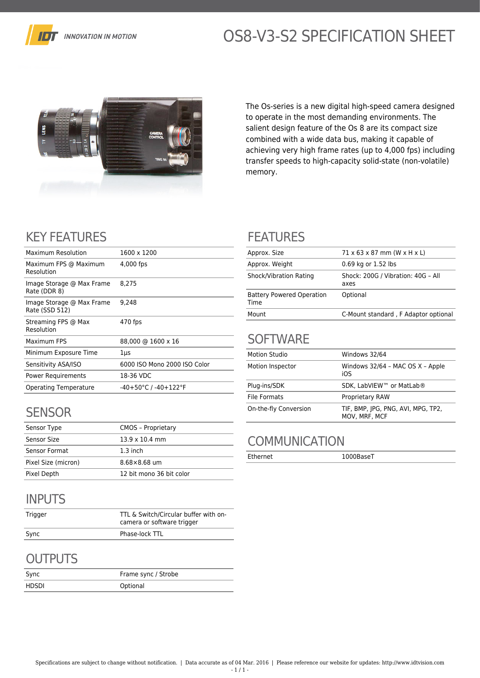

# OS8-V3-S2 SPECIFICATION SHEET



The Os-series is a new digital high-speed camera designed to operate in the most demanding environments. The salient design feature of the Os 8 are its compact size combined with a wide data bus, making it capable of achieving very high frame rates (up to 4,000 fps) including transfer speeds to high-capacity solid-state (non-volatile) memory.

# KEY FEATURES

| Maximum Resolution                          | 1600 x 1200                              |
|---------------------------------------------|------------------------------------------|
| Maximum FPS @ Maximum<br>Resolution         | 4,000 fps                                |
| Image Storage @ Max Frame<br>Rate (DDR 8)   | 8.275                                    |
| Image Storage @ Max Frame<br>Rate (SSD 512) | 9.248                                    |
| Streaming FPS @ Max<br>Resolution           | 470 fps                                  |
| Maximum FPS                                 | 88,000 @ 1600 x 16                       |
| Minimum Exposure Time                       | 1µs                                      |
| Sensitivity ASA/ISO                         | 6000 ISO Mono 2000 ISO Color             |
| <b>Power Requirements</b>                   | 18-36 VDC                                |
| <b>Operating Temperature</b>                | $-40+50^{\circ}$ C / $-40+122^{\circ}$ F |
|                                             |                                          |

## **SENSOR**

| Sensor Type         | <b>CMOS - Proprietary</b> |
|---------------------|---------------------------|
| Sensor Size         | $13.9 \times 10.4$ mm     |
| Sensor Format       | $1.3$ inch                |
| Pixel Size (micron) | $8.68\times8.68$ um       |
| Pixel Depth         | 12 bit mono 36 bit color  |

# INPUTS

| Trigger | TTL & Switch/Circular buffer with on-<br>camera or software trigger |
|---------|---------------------------------------------------------------------|
| Sync    | Phase-lock TTL                                                      |

# **OUTPUTS**

| Sync  | Frame sync / Strobe |
|-------|---------------------|
| HDSDI | Optional            |

#### FEATURES

| Approx. Size                             | $71 \times 63 \times 87$ mm (W $\times$ H $\times$ L) |
|------------------------------------------|-------------------------------------------------------|
| Approx. Weight                           | 0.69 kg or 1.52 lbs                                   |
| Shock/Vibration Rating                   | Shock: 200G / Vibration: 40G - All<br>axes            |
| <b>Battery Powered Operation</b><br>Time | Optional                                              |
| Mount                                    | C-Mount standard, F Adaptor optional                  |

#### **SOFTWARE**

| <b>Motion Studio</b>  | Windows 32/64                                       |
|-----------------------|-----------------------------------------------------|
| Motion Inspector      | Windows 32/64 - MAC OS X - Apple<br>iOS             |
| Plug-ins/SDK          | SDK. LabVIEW™ or MatLab®                            |
| File Formats          | <b>Proprietary RAW</b>                              |
| On-the-fly Conversion | TIF, BMP, JPG, PNG, AVI, MPG, TP2,<br>MOV, MRF, MCF |

## **COMMUNICATION**

Ethernet 1000BaseT